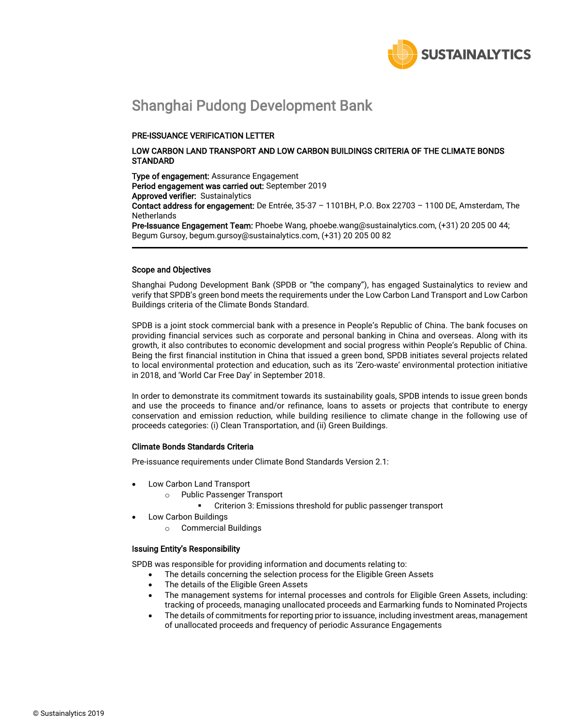

## Shanghai Pudong Development Bank

#### PRE-ISSUANCE VERIFICATION LETTER

#### LOW CARBON LAND TRANSPORT AND LOW CARBON BUILDINGS CRITERIA OF THE CLIMATE BONDS **STANDARD**

Type of engagement: Assurance Engagement Period engagement was carried out: September 2019 Approved verifier: Sustainalytics Contact address for engagement: De Entrée, 35-37 – 1101BH, P.O. Box 22703 – 1100 DE, Amsterdam, The **Netherlands** Pre-Issuance Engagement Team: Phoebe Wang, phoebe.wang@sustainalytics.com, (+31) 20 205 00 44;

Begum Gursoy, begum.gursoy@sustainalytics.com, (+31) 20 205 00 82

#### Scope and Objectives

Shanghai Pudong Development Bank (SPDB or "the company"), has engaged Sustainalytics to review and verify that SPDB's green bond meets the requirements under the Low Carbon Land Transport and Low Carbon Buildings criteria of the Climate Bonds Standard.

SPDB is a joint stock commercial bank with a presence in People's Republic of China. The bank focuses on providing financial services such as corporate and personal banking in China and overseas. Along with its growth, it also contributes to economic development and social progress within People's Republic of China. Being the first financial institution in China that issued a green bond, SPDB initiates several projects related to local environmental protection and education, such as its 'Zero-waste' environmental protection initiative in 2018, and 'World Car Free Day' in September 2018.

In order to demonstrate its commitment towards its sustainability goals, SPDB intends to issue green bonds and use the proceeds to finance and/or refinance, loans to assets or projects that contribute to energy conservation and emission reduction, while building resilience to climate change in the following use of proceeds categories: (i) Clean Transportation, and (ii) Green Buildings.

#### Climate Bonds Standards Criteria

Pre-issuance requirements under Climate Bond Standards Version 2.1:

- Low Carbon Land Transport
	- o Public Passenger Transport
		- Criterion 3: Emissions threshold for public passenger transport
- Low Carbon Buildings
	- o Commercial Buildings

#### Issuing Entity's Responsibility

SPDB was responsible for providing information and documents relating to:

- The details concerning the selection process for the Eligible Green Assets
- The details of the Eligible Green Assets
- The management systems for internal processes and controls for Eligible Green Assets, including: tracking of proceeds, managing unallocated proceeds and Earmarking funds to Nominated Projects
- The details of commitments for reporting prior to issuance, including investment areas, management of unallocated proceeds and frequency of periodic Assurance Engagements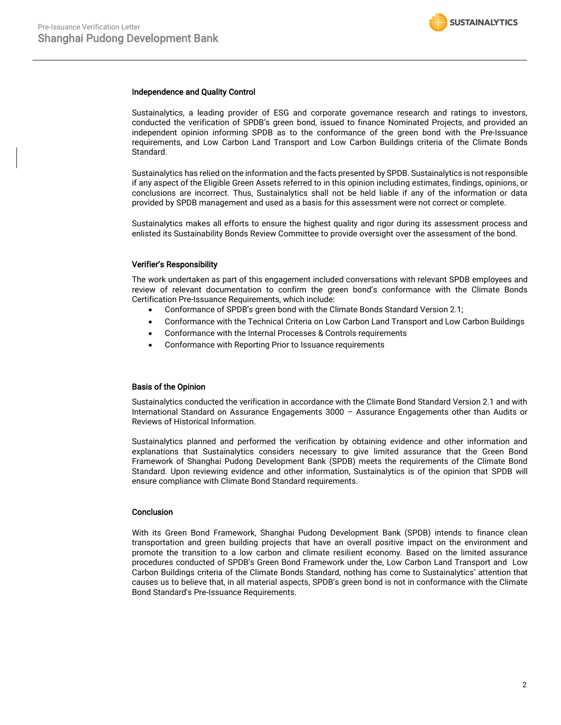#### Independence and Quality Control

Sustainalytics, a leading provider of ESG and corporate governance research and ratings to investors, conducted the verification of SPDB's green bond, issued to finance Nominated Projects, and provided an independent opinion informing SPDB as to the conformance of the green bond with the Pre-Issuance requirements, and Low Carbon Land Transport and Low Carbon Buildings criteria of the Climate Bonds Standard.

Sustainalytics has relied on the information and the facts presented by SPDB. Sustainalytics is not responsible if any aspect of the Eligible Green Assets referred to in this opinion including estimates, findings, opinions, or conclusions are incorrect. Thus, Sustainalytics shall not be held liable if any of the information or data provided by SPDB management and used as a basis for this assessment were not correct or complete.

Sustainalytics makes all efforts to ensure the highest quality and rigor during its assessment process and enlisted its Sustainability Bonds Review Committee to provide oversight over the assessment of the bond.

#### Verifier's Responsibility

The work undertaken as part of this engagement included conversations with relevant SPDB employees and review of relevant documentation to confirm the green bond's conformance with the Climate Bonds Certification Pre-Issuance Requirements, which include:

- Conformance of SPDB's green bond with the Climate Bonds Standard Version 2.1;
- Conformance with the Technical Criteria on Low Carbon Land Transport and Low Carbon Buildings
- Conformance with the Internal Processes & Controls requirements
- Conformance with Reporting Prior to Issuance requirements

#### Basis of the Opinion

Sustainalytics conducted the verification in accordance with the Climate Bond Standard Version 2.1 and with International Standard on Assurance Engagements 3000 – Assurance Engagements other than Audits or Reviews of Historical Information.

Sustainalytics planned and performed the verification by obtaining evidence and other information and explanations that Sustainalytics considers necessary to give limited assurance that the Green Bond Framework of Shanghai Pudong Development Bank (SPDB) meets the requirements of the Climate Bond Standard. Upon reviewing evidence and other information, Sustainalytics is of the opinion that SPDB will ensure compliance with Climate Bond Standard requirements.

#### **Conclusion**

With its Green Bond Framework, Shanghai Pudong Development Bank (SPDB) intends to finance clean transportation and green building projects that have an overall positive impact on the environment and promote the transition to a low carbon and climate resilient economy. Based on the limited assurance procedures conducted of SPDB's Green Bond Framework under the, Low Carbon Land Transport and Low Carbon Buildings criteria of the Climate Bonds Standard, nothing has come to Sustainalytics' attention that causes us to believe that, in all material aspects, SPDB's green bond is not in conformance with the Climate Bond Standard's Pre-Issuance Requirements.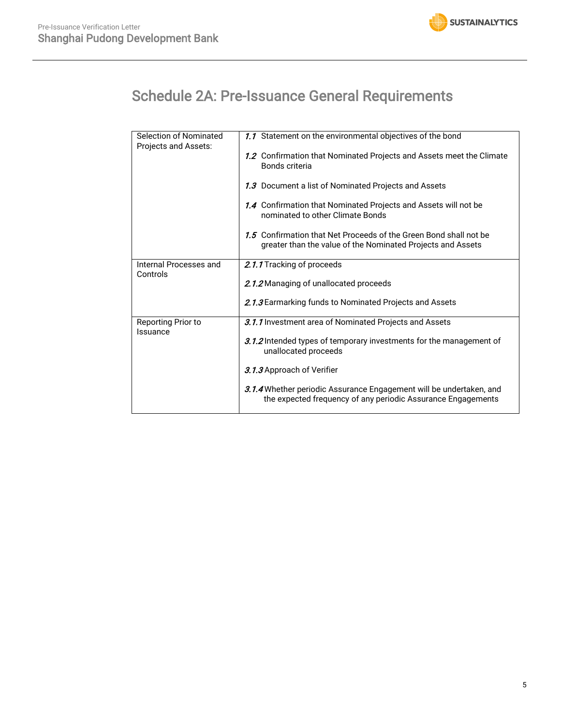

# Schedule 2A: Pre-Issuance General Requirements

| 1.1 Statement on the environmental objectives of the bond                                                                           |
|-------------------------------------------------------------------------------------------------------------------------------------|
| 1.2 Confirmation that Nominated Projects and Assets meet the Climate<br>Bonds criteria                                              |
| 1.3 Document a list of Nominated Projects and Assets                                                                                |
| 1.4 Confirmation that Nominated Projects and Assets will not be<br>nominated to other Climate Bonds                                 |
| 1.5 Confirmation that Net Proceeds of the Green Bond shall not be<br>greater than the value of the Nominated Projects and Assets    |
| 2.1.1 Tracking of proceeds                                                                                                          |
|                                                                                                                                     |
| 2.1.2 Managing of unallocated proceeds                                                                                              |
| 2.1.3 Earmarking funds to Nominated Projects and Assets                                                                             |
| 3.1.1 Investment area of Nominated Projects and Assets                                                                              |
| 3.1.2 Intended types of temporary investments for the management of<br>unallocated proceeds                                         |
| 3.1.3 Approach of Verifier                                                                                                          |
| 3.1.4 Whether periodic Assurance Engagement will be undertaken, and<br>the expected frequency of any periodic Assurance Engagements |
|                                                                                                                                     |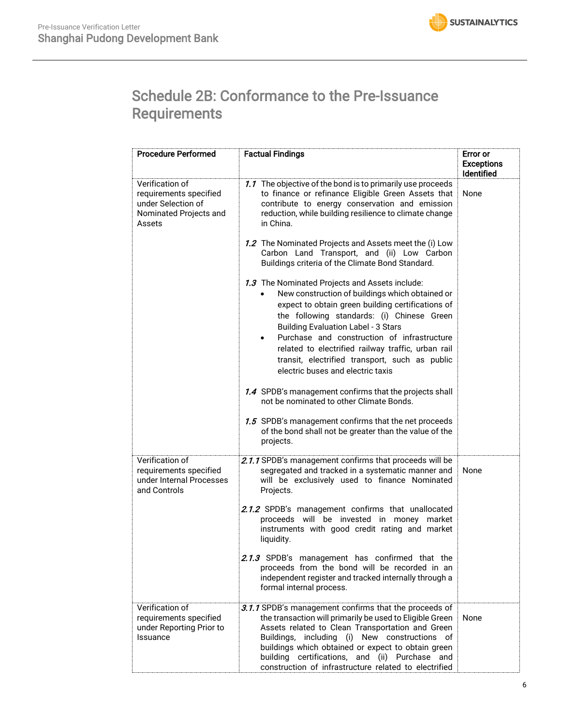# Schedule 2B: Conformance to the Pre-Issuance **Requirements**

| <b>Procedure Performed</b>                                                                          | <b>Factual Findings</b>                                                                                                                                                                                                                                                                                                                                                                                                                        | <b>Error</b> or<br><b>Exceptions</b><br>Identified |
|-----------------------------------------------------------------------------------------------------|------------------------------------------------------------------------------------------------------------------------------------------------------------------------------------------------------------------------------------------------------------------------------------------------------------------------------------------------------------------------------------------------------------------------------------------------|----------------------------------------------------|
| Verification of<br>requirements specified<br>under Selection of<br>Nominated Projects and<br>Assets | 1.1 The objective of the bond is to primarily use proceeds<br>to finance or refinance Eligible Green Assets that<br>contribute to energy conservation and emission<br>reduction, while building resilience to climate change<br>in China.                                                                                                                                                                                                      | None                                               |
|                                                                                                     | 1.2 The Nominated Projects and Assets meet the (i) Low<br>Carbon Land Transport, and (ii) Low Carbon<br>Buildings criteria of the Climate Bond Standard.                                                                                                                                                                                                                                                                                       |                                                    |
|                                                                                                     | 1.3 The Nominated Projects and Assets include:<br>New construction of buildings which obtained or<br>expect to obtain green building certifications of<br>the following standards: (i) Chinese Green<br><b>Building Evaluation Label - 3 Stars</b><br>Purchase and construction of infrastructure<br>related to electrified railway traffic, urban rail<br>transit, electrified transport, such as public<br>electric buses and electric taxis |                                                    |
|                                                                                                     | 1.4 SPDB's management confirms that the projects shall<br>not be nominated to other Climate Bonds.                                                                                                                                                                                                                                                                                                                                             |                                                    |
|                                                                                                     | 1.5 SPDB's management confirms that the net proceeds<br>of the bond shall not be greater than the value of the<br>projects.                                                                                                                                                                                                                                                                                                                    |                                                    |
| Verification of<br>requirements specified<br>under Internal Processes<br>and Controls               | 2.1.1 SPDB's management confirms that proceeds will be<br>segregated and tracked in a systematic manner and<br>will be exclusively used to finance Nominated<br>Projects.                                                                                                                                                                                                                                                                      | None                                               |
|                                                                                                     | 2.1.2 SPDB's management confirms that unallocated<br>proceeds will be invested in money market<br>instruments with good credit rating and market<br>liquidity.                                                                                                                                                                                                                                                                                 |                                                    |
|                                                                                                     | 2.1.3 SPDB's management has confirmed that the<br>proceeds from the bond will be recorded in an<br>independent register and tracked internally through a<br>formal internal process.                                                                                                                                                                                                                                                           |                                                    |
| Verification of<br>requirements specified<br>under Reporting Prior to<br>Issuance                   | 3.1.1 SPDB's management confirms that the proceeds of<br>the transaction will primarily be used to Eligible Green<br>Assets related to Clean Transportation and Green<br>Buildings, including (i) New constructions of<br>buildings which obtained or expect to obtain green<br>building certifications, and (ii) Purchase and<br>construction of infrastructure related to electrified                                                        | None                                               |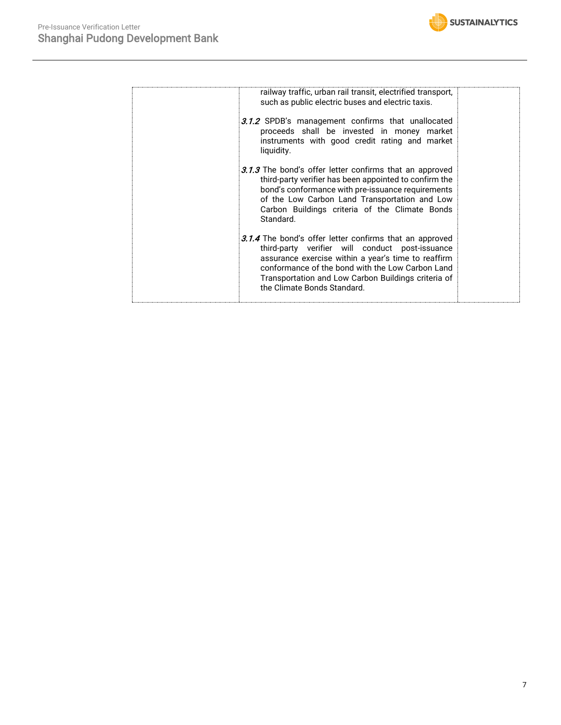

| railway traffic, urban rail transit, electrified transport,<br>such as public electric buses and electric taxis.                                                                                                                                                                                                   |  |
|--------------------------------------------------------------------------------------------------------------------------------------------------------------------------------------------------------------------------------------------------------------------------------------------------------------------|--|
| 3.1.2 SPDB's management confirms that unallocated<br>proceeds shall be invested in money market<br>instruments with good credit rating and market<br>liquidity.                                                                                                                                                    |  |
| 3.1.3 The bond's offer letter confirms that an approved<br>third-party verifier has been appointed to confirm the<br>bond's conformance with pre-issuance requirements<br>of the Low Carbon Land Transportation and Low<br>Carbon Buildings criteria of the Climate Bonds<br>Standard.                             |  |
| <b>3.1.4</b> The bond's offer letter confirms that an approved<br>third-party verifier will conduct post-issuance<br>assurance exercise within a year's time to reaffirm<br>conformance of the bond with the Low Carbon Land<br>Transportation and Low Carbon Buildings criteria of<br>the Climate Bonds Standard. |  |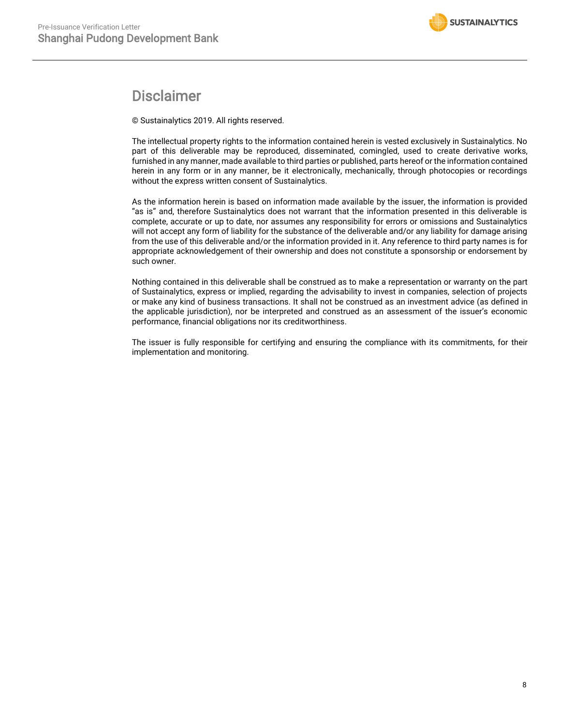### Disclaimer

© Sustainalytics 2019. All rights reserved.

The intellectual property rights to the information contained herein is vested exclusively in Sustainalytics. No part of this deliverable may be reproduced, disseminated, comingled, used to create derivative works, furnished in any manner, made available to third parties or published, parts hereof or the information contained herein in any form or in any manner, be it electronically, mechanically, through photocopies or recordings without the express written consent of Sustainalytics.

As the information herein is based on information made available by the issuer, the information is provided "as is" and, therefore Sustainalytics does not warrant that the information presented in this deliverable is complete, accurate or up to date, nor assumes any responsibility for errors or omissions and Sustainalytics will not accept any form of liability for the substance of the deliverable and/or any liability for damage arising from the use of this deliverable and/or the information provided in it. Any reference to third party names is for appropriate acknowledgement of their ownership and does not constitute a sponsorship or endorsement by such owner.

Nothing contained in this deliverable shall be construed as to make a representation or warranty on the part of Sustainalytics, express or implied, regarding the advisability to invest in companies, selection of projects or make any kind of business transactions. It shall not be construed as an investment advice (as defined in the applicable jurisdiction), nor be interpreted and construed as an assessment of the issuer's economic performance, financial obligations nor its creditworthiness.

The issuer is fully responsible for certifying and ensuring the compliance with its commitments, for their implementation and monitoring.